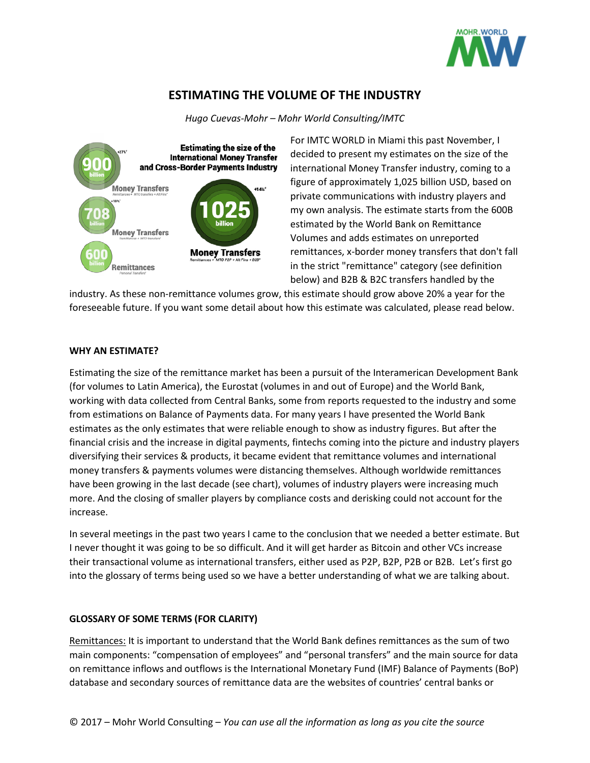

# **[ESTIMATING THE VOLUME OF THE INDUSTRY](https://imtconferences.com/estimating-volume-industry/)**

*Hugo Cuevas-Mohr – Mohr World Consulting/IMTC*



For IMTC WORLD in Miami this past November, I decided to present my estimates on the size of the international Money Transfer industry, coming to a figure of approximately 1,025 billion USD, based on private communications with industry players and my own analysis. The estimate starts from the 600B estimated by the World Bank on Remittance Volumes and adds estimates on unreported remittances, x-border money transfers that don't fall in the strict "remittance" category (see definition below) and B2B & B2C transfers handled by the

industry. As these non-remittance volumes grow, this estimate should grow above 20% a year for the foreseeable future. If you want some detail about how this estimate was calculated, please read below.

### **WHY AN ESTIMATE?**

Estimating the size of the remittance market has been a pursuit of the Interamerican Development Bank (for volumes to Latin America), the Eurostat (volumes in and out of Europe) and the World Bank, working with data collected from Central Banks, some from reports requested to the industry and some from estimations on Balance of Payments data. For many years I have presented the World Bank estimates as the only estimates that were reliable enough to show as industry figures. But after the financial crisis and the increase in digital payments, fintechs coming into the picture and industry players diversifying their services & products, it became evident that remittance volumes and international money transfers & payments volumes were distancing themselves. Although worldwide remittances have been growing in the last decade (see chart), volumes of industry players were increasing much more. And the closing of smaller players by compliance costs and derisking could not account for the increase.

In several meetings in the past two years I came to the conclusion that we needed a better estimate. But I never thought it was going to be so difficult. And it will get harder as Bitcoin and other VCs increase their transactional volume as international transfers, either used as P2P, B2P, P2B or B2B. Let's first go into the glossary of terms being used so we have a better understanding of what we are talking about.

## **GLOSSARY OF SOME TERMS (FOR CLARITY)**

Remittances: It is important to understand that the World Bank defines remittances as the sum of two main components: "compensation of employees" and "personal transfers" and the main source for data on remittance inflows and outflows is the International Monetary Fund (IMF) Balance of Payments (BoP) database and secondary sources of remittance data are the websites of countries' central banks or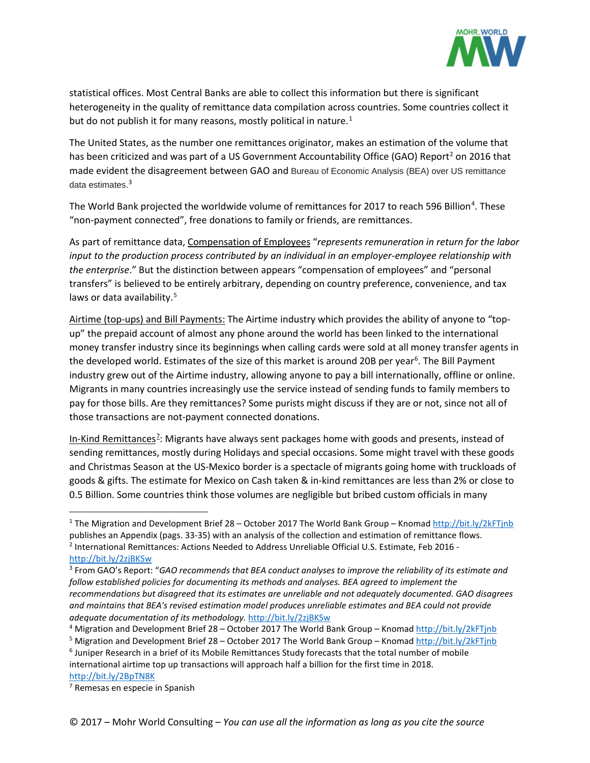

statistical offices. Most Central Banks are able to collect this information but there is significant heterogeneity in the quality of remittance data compilation across countries. Some countries collect it but do not publish it for many reasons, mostly political in nature.<sup>[1](#page-1-0)</sup>

The United States, as the number one remittances originator, makes an estimation of the volume that has been criticized and was part of a US Government Accountability Office (GAO) Report<sup>[2](#page-1-1)</sup> on 2016 that made evident the disagreement between GAO and Bureau of Economic Analysis (BEA) over US remittance data estimates.[3](#page-1-2)

The World Bank projected the worldwide volume of remittances for 2017 to reach 596 Billion<sup>[4](#page-1-3)</sup>. These "non-payment connected", free donations to family or friends, are remittances.

As part of remittance data, Compensation of Employees "*represents remuneration in return for the labor input to the production process contributed by an individual in an employer-employee relationship with the enterprise*." But the distinction between appears "compensation of employees" and "personal transfers" is believed to be entirely arbitrary, depending on country preference, convenience, and tax laws or data availability.<sup>[5](#page-1-4)</sup>

Airtime (top-ups) and Bill Payments: The Airtime industry which provides the ability of anyone to "topup" the prepaid account of almost any phone around the world has been linked to the international money transfer industry since its beginnings when calling cards were sold at all money transfer agents in the developed world. Estimates of the size of this market is around 20B per year<sup>6</sup>. The Bill Payment industry grew out of the Airtime industry, allowing anyone to pay a bill internationally, offline or online. Migrants in many countries increasingly use the service instead of sending funds to family members to pay for those bills. Are they remittances? Some purists might discuss if they are or not, since not all of those transactions are not-payment connected donations.

In-Kind Remittances<sup>2</sup>: Migrants have always sent packages home with goods and presents, instead of sending remittances, mostly during Holidays and special occasions. Some might travel with these goods and Christmas Season at the US-Mexico border is a spectacle of migrants going home with truckloads of goods & gifts. The estimate for Mexico on Cash taken & in-kind remittances are less than 2% or close to 0.5 Billion. Some countries think those volumes are negligible but bribed custom officials in many

<span id="page-1-0"></span><sup>&</sup>lt;sup>1</sup> The Migration and Development Brief 28 – October 2017 The World Bank Group – Knoma[d http://bit.ly/2kFTjnb](http://bit.ly/2kFTjnb) publishes an Appendix (pags. 33-35) with an analysis of the collection and estimation of remittance flows. <sup>2</sup> International Remittances: Actions Needed to Address Unreliable Official U.S. Estimate, Feb 2016 -

<span id="page-1-1"></span><http://bit.ly/2zjBKSw>

<span id="page-1-2"></span><sup>3</sup> From GAO's Report: "*GAO recommends that BEA conduct analyses to improve the reliability of its estimate and follow established policies for documenting its methods and analyses. BEA agreed to implement the recommendations but disagreed that its estimates are unreliable and not adequately documented. GAO disagrees and maintains that BEA's revised estimation model produces unreliable estimates and BEA could not provide adequate documentation of its methodology.* <http://bit.ly/2zjBKSw>

<span id="page-1-3"></span><sup>4</sup> Migration and Development Brief 28 – October 2017 The World Bank Group – Knomad<http://bit.ly/2kFTjnb>

<span id="page-1-4"></span><sup>&</sup>lt;sup>5</sup> Migration and Development Brief 28 – October 2017 The World Bank Group – Knomad<http://bit.ly/2kFTjnb>

<span id="page-1-5"></span><sup>6</sup> Juniper Research in a brief of its Mobile Remittances Study forecasts that the total number of mobile international airtime top up transactions will approach half a billion for the first time in 2018. <http://bit.ly/2BpTN8K>

<span id="page-1-6"></span><sup>7</sup> Remesas en especie in Spanish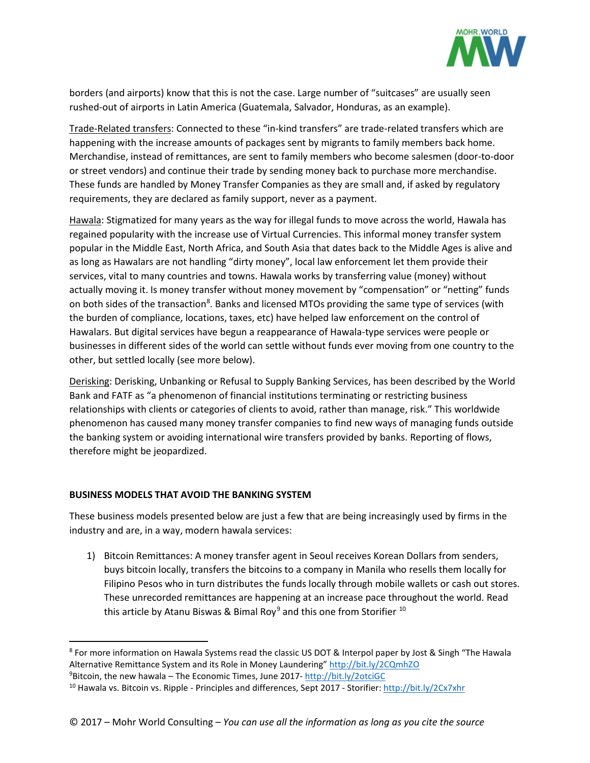

borders (and airports) know that this is not the case. Large number of "suitcases" are usually seen rushed-out of airports in Latin America (Guatemala, Salvador, Honduras, as an example).

Trade-Related transfers: Connected to these "in-kind transfers" are trade-related transfers which are happening with the increase amounts of packages sent by migrants to family members back home. Merchandise, instead of remittances, are sent to family members who become salesmen (door-to-door or street vendors) and continue their trade by sending money back to purchase more merchandise. These funds are handled by Money Transfer Companies as they are small and, if asked by regulatory requirements, they are declared as family support, never as a payment.

Hawala: Stigmatized for many years as the way for illegal funds to move across the world, Hawala has regained popularity with the increase use of Virtual Currencies. This informal money transfer system popular in the Middle East, North Africa, and South Asia that dates back to the Middle Ages is alive and as long as Hawalars are not handling "dirty money", local law enforcement let them provide their services, vital to many countries and towns. Hawala works by transferring value (money) without actually moving it. Is money transfer without money movement by "compensation" or "netting" funds on both sides of the transaction<sup>[8](#page-2-0)</sup>. Banks and licensed MTOs providing the same type of services (with the burden of compliance, locations, taxes, etc) have helped law enforcement on the control of Hawalars. But digital services have begun a reappearance of Hawala-type services were people or businesses in different sides of the world can settle without funds ever moving from one country to the other, but settled locally (see more below).

Derisking: Derisking, Unbanking or Refusal to Supply Banking Services, has been described by the World Bank and FATF as "a phenomenon of financial institutions terminating or restricting business relationships with clients or categories of clients to avoid, rather than manage, risk." This worldwide phenomenon has caused many money transfer companies to find new ways of managing funds outside the banking system or avoiding international wire transfers provided by banks. Reporting of flows, therefore might be jeopardized.

### **BUSINESS MODELS THAT AVOID THE BANKING SYSTEM**

These business models presented below are just a few that are being increasingly used by firms in the industry and are, in a way, modern hawala services:

1) Bitcoin Remittances: A money transfer agent in Seoul receives Korean Dollars from senders, buys bitcoin locally, transfers the bitcoins to a company in Manila who resells them locally for Filipino Pesos who in turn distributes the funds locally through mobile wallets or cash out stores. These unrecorded remittances are happening at an increase pace throughout the world. Read this article by Atanu Biswas & Bimal Roy<sup>[9](#page-2-1)</sup> and this one from Storifier  $10$ 

<span id="page-2-0"></span> <sup>8</sup> For more information on Hawala Systems read the classic US DOT & Interpol paper by Jost & Singh "The Hawala Alternative Remittance System and its Role in Money Laundering" <http://bit.ly/2CQmhZO> <sup>9</sup>Bitcoin, the new hawala – The Economic Times, June 2017- <http://bit.ly/2otciGC>

<span id="page-2-2"></span><span id="page-2-1"></span><sup>10</sup> Hawala vs. Bitcoin vs. Ripple - Principles and differences, Sept 2017 - Storifier:<http://bit.ly/2Cx7xhr>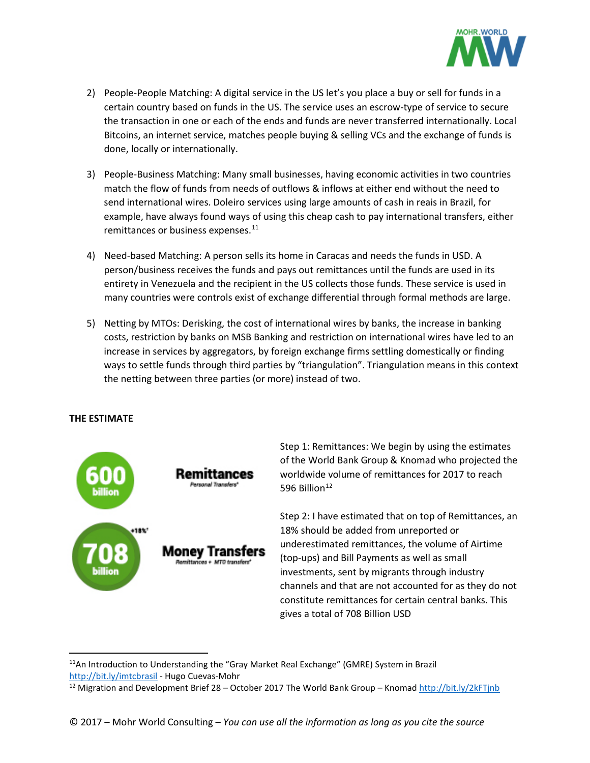

- 2) People-People Matching: A digital service in the US let's you place a buy or sell for funds in a certain country based on funds in the US. The service uses an escrow-type of service to secure the transaction in one or each of the ends and funds are never transferred internationally. Local Bitcoins, an internet service, matches people buying & selling VCs and the exchange of funds is done, locally or internationally.
- 3) People-Business Matching: Many small businesses, having economic activities in two countries match the flow of funds from needs of outflows & inflows at either end without the need to send international wires. Doleiro services using large amounts of cash in reais in Brazil, for example, have always found ways of using this cheap cash to pay international transfers, either remittances or business expenses.<sup>[11](#page-3-0)</sup>
- 4) Need-based Matching: A person sells its home in Caracas and needs the funds in USD. A person/business receives the funds and pays out remittances until the funds are used in its entirety in Venezuela and the recipient in the US collects those funds. These service is used in many countries were controls exist of exchange differential through formal methods are large.
- 5) Netting by MTOs: Derisking, the cost of international wires by banks, the increase in banking costs, restriction by banks on MSB Banking and restriction on international wires have led to an increase in services by aggregators, by foreign exchange firms settling domestically or finding ways to settle funds through third parties by "triangulation". Triangulation means in this context the netting between three parties (or more) instead of two.

### **THE ESTIMATE**



Step 1: Remittances: We begin by using the estimates of the World Bank Group & Knomad who projected the worldwide volume of remittances for 2017 to reach 596 Billion $12$ 

Step 2: I have estimated that on top of Remittances, an 18% should be added from unreported or underestimated remittances, the volume of Airtime (top-ups) and Bill Payments as well as small investments, sent by migrants through industry channels and that are not accounted for as they do not constitute remittances for certain central banks. This gives a total of 708 Billion USD

<span id="page-3-0"></span><sup>&</sup>lt;sup>11</sup>An Introduction to Understanding the "Gray Market Real Exchange" (GMRE) System in Brazil <http://bit.ly/imtcbrasil> - Hugo Cuevas-Mohr

<span id="page-3-1"></span><sup>&</sup>lt;sup>12</sup> Migration and Development Brief 28 – October 2017 The World Bank Group – Knomad<http://bit.ly/2kFTjnb>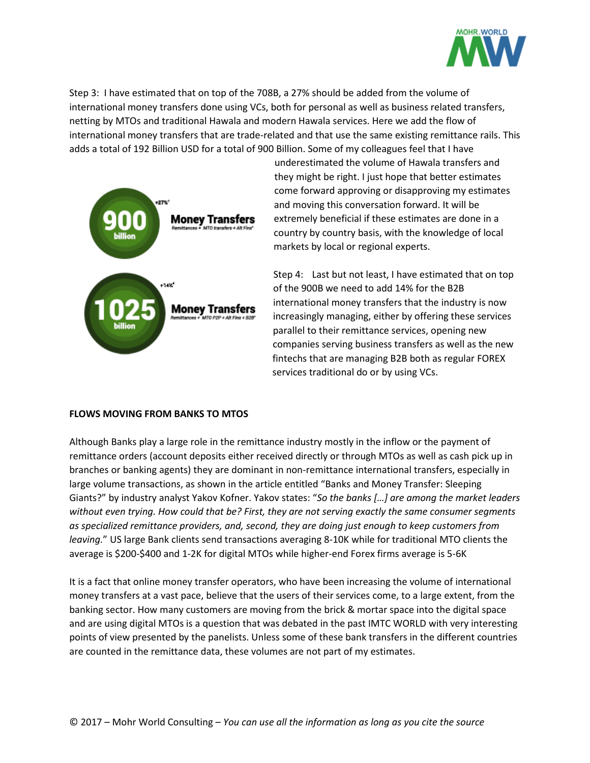

Step 3: I have estimated that on top of the 708B, a 27% should be added from the volume of international money transfers done using VCs, both for personal as well as business related transfers, netting by MTOs and traditional Hawala and modern Hawala services. Here we add the flow of international money transfers that are trade-related and that use the same existing remittance rails. This adds a total of 192 Billion USD for a total of 900 Billion. Some of my colleagues feel that I have



underestimated the volume of Hawala transfers and they might be right. I just hope that better estimates come forward approving or disapproving my estimates and moving this conversation forward. It will be extremely beneficial if these estimates are done in a country by country basis, with the knowledge of local markets by local or regional experts.

Step 4: Last but not least, I have estimated that on top of the 900B we need to add 14% for the B2B international money transfers that the industry is now increasingly managing, either by offering these services parallel to their remittance services, opening new companies serving business transfers as well as the new fintechs that are managing B2B both as regular FOREX services traditional do or by using VCs.

#### **FLOWS MOVING FROM BANKS TO MTOS**

Although Banks play a large role in the remittance industry mostly in the inflow or the payment of remittance orders (account deposits either received directly or through MTOs as well as cash pick up in branches or banking agents) they are dominant in non-remittance international transfers, especially in large volume transactions, as shown in the article entitled "Banks and Money Transfer: Sleeping Giants?" by industry analyst Yakov Kofner. Yakov states: "*So the banks […] are among the market leaders without even trying. How could that be? First, they are not serving exactly the same consumer segments as specialized remittance providers, and, second, they are doing just enough to keep customers from leaving.*" US large Bank clients send transactions averaging 8-10K while for traditional MTO clients the average is \$200-\$400 and 1-2K for digital MTOs while higher-end Forex firms average is 5-6K

It is a fact that online money transfer operators, who have been increasing the volume of international money transfers at a vast pace, believe that the users of their services come, to a large extent, from the banking sector. How many customers are moving from the brick & mortar space into the digital space and are using digital MTOs is a question that was debated in the past IMTC WORLD with very interesting points of view presented by the panelists. Unless some of these bank transfers in the different countries are counted in the remittance data, these volumes are not part of my estimates.